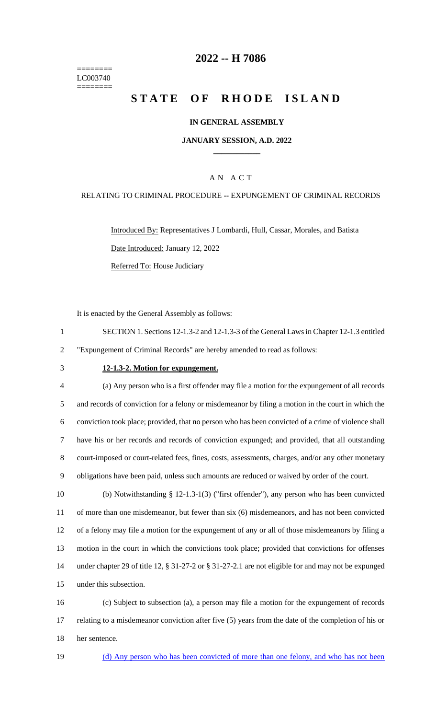======== LC003740 ========

### **-- H 7086**

# **STATE OF RHODE ISLAND**

#### **IN GENERAL ASSEMBLY**

#### **JANUARY SESSION, A.D. 2022 \_\_\_\_\_\_\_\_\_\_\_\_**

### A N A C T

#### RELATING TO CRIMINAL PROCEDURE -- EXPUNGEMENT OF CRIMINAL RECORDS

Introduced By: Representatives J Lombardi, Hull, Cassar, Morales, and Batista Date Introduced: January 12, 2022 Referred To: House Judiciary

It is enacted by the General Assembly as follows:

 SECTION 1. Sections 12-1.3-2 and 12-1.3-3 of the General Laws in Chapter 12-1.3 entitled "Expungement of Criminal Records" are hereby amended to read as follows:

#### **12-1.3-2. Motion for expungement.**

 (a) Any person who is a first offender may file a motion for the expungement of all records and records of conviction for a felony or misdemeanor by filing a motion in the court in which the conviction took place; provided, that no person who has been convicted of a crime of violence shall have his or her records and records of conviction expunged; and provided, that all outstanding court-imposed or court-related fees, fines, costs, assessments, charges, and/or any other monetary obligations have been paid, unless such amounts are reduced or waived by order of the court.

 (b) Notwithstanding § 12-1.3-1(3) ("first offender"), any person who has been convicted of more than one misdemeanor, but fewer than six (6) misdemeanors, and has not been convicted of a felony may file a motion for the expungement of any or all of those misdemeanors by filing a motion in the court in which the convictions took place; provided that convictions for offenses under chapter 29 of title 12, § 31-27-2 or § 31-27-2.1 are not eligible for and may not be expunged under this subsection.

 (c) Subject to subsection (a), a person may file a motion for the expungement of records relating to a misdemeanor conviction after five (5) years from the date of the completion of his or her sentence.

(d) Any person who has been convicted of more than one felony, and who has not been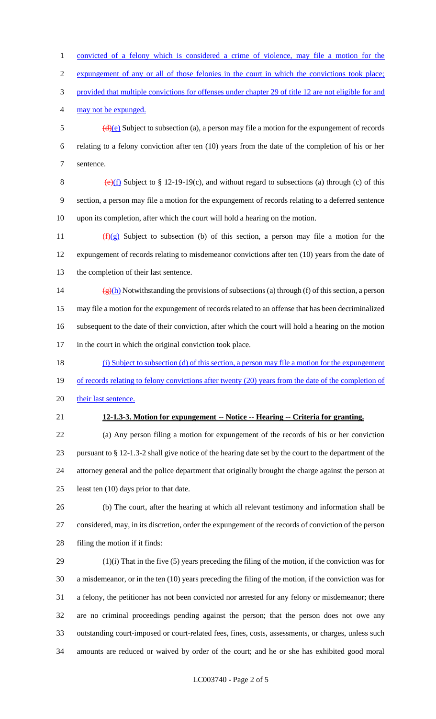convicted of a felony which is considered a crime of violence, may file a motion for the expungement of any or all of those felonies in the court in which the convictions took place; provided that multiple convictions for offenses under chapter 29 of title 12 are not eligible for and may not be expunged.  $\frac{d}{e}$  Subject to subsection (a), a person may file a motion for the expungement of records relating to a felony conviction after ten (10) years from the date of the completion of his or her sentence. 8 (e)(f) Subject to  $\S 12-19-19(c)$ , and without regard to subsections (a) through (c) of this section, a person may file a motion for the expungement of records relating to a deferred sentence upon its completion, after which the court will hold a hearing on the motion.  $(f)(g)$  Subject to subsection (b) of this section, a person may file a motion for the expungement of records relating to misdemeanor convictions after ten (10) years from the date of the completion of their last sentence.  $(g)(h)$  Notwithstanding the provisions of subsections (a) through (f) of this section, a person may file a motion for the expungement of records related to an offense that has been decriminalized subsequent to the date of their conviction, after which the court will hold a hearing on the motion in the court in which the original conviction took place. (i) Subject to subsection (d) of this section, a person may file a motion for the expungement 19 of records relating to felony convictions after twenty (20) years from the date of the completion of 20 their last sentence. **12-1.3-3. Motion for expungement -- Notice -- Hearing -- Criteria for granting.** (a) Any person filing a motion for expungement of the records of his or her conviction pursuant to § 12-1.3-2 shall give notice of the hearing date set by the court to the department of the attorney general and the police department that originally brought the charge against the person at 25 least ten (10) days prior to that date. (b) The court, after the hearing at which all relevant testimony and information shall be considered, may, in its discretion, order the expungement of the records of conviction of the person filing the motion if it finds: (1)(i) That in the five (5) years preceding the filing of the motion, if the conviction was for

 a misdemeanor, or in the ten (10) years preceding the filing of the motion, if the conviction was for a felony, the petitioner has not been convicted nor arrested for any felony or misdemeanor; there are no criminal proceedings pending against the person; that the person does not owe any outstanding court-imposed or court-related fees, fines, costs, assessments, or charges, unless such amounts are reduced or waived by order of the court; and he or she has exhibited good moral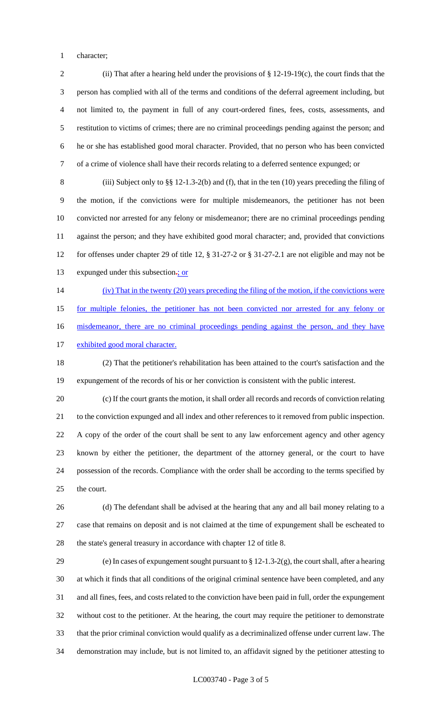character;

 (ii) That after a hearing held under the provisions of § 12-19-19(c), the court finds that the person has complied with all of the terms and conditions of the deferral agreement including, but not limited to, the payment in full of any court-ordered fines, fees, costs, assessments, and restitution to victims of crimes; there are no criminal proceedings pending against the person; and he or she has established good moral character. Provided, that no person who has been convicted of a crime of violence shall have their records relating to a deferred sentence expunged; or

 (iii) Subject only to §§ 12-1.3-2(b) and (f), that in the ten (10) years preceding the filing of the motion, if the convictions were for multiple misdemeanors, the petitioner has not been convicted nor arrested for any felony or misdemeanor; there are no criminal proceedings pending against the person; and they have exhibited good moral character; and, provided that convictions for offenses under chapter 29 of title 12, § 31-27-2 or § 31-27-2.1 are not eligible and may not be 13 expunged under this subsection-; or

(iv) That in the twenty (20) years preceding the filing of the motion, if the convictions were

for multiple felonies, the petitioner has not been convicted nor arrested for any felony or

16 misdemeanor, there are no criminal proceedings pending against the person, and they have

17 exhibited good moral character.

 (2) That the petitioner's rehabilitation has been attained to the court's satisfaction and the expungement of the records of his or her conviction is consistent with the public interest.

 (c) If the court grants the motion, it shall order all records and records of conviction relating to the conviction expunged and all index and other references to it removed from public inspection. A copy of the order of the court shall be sent to any law enforcement agency and other agency known by either the petitioner, the department of the attorney general, or the court to have possession of the records. Compliance with the order shall be according to the terms specified by the court.

 (d) The defendant shall be advised at the hearing that any and all bail money relating to a case that remains on deposit and is not claimed at the time of expungement shall be escheated to the state's general treasury in accordance with chapter 12 of title 8.

 (e) In cases of expungement sought pursuant to § 12-1.3-2(g), the court shall, after a hearing at which it finds that all conditions of the original criminal sentence have been completed, and any and all fines, fees, and costs related to the conviction have been paid in full, order the expungement without cost to the petitioner. At the hearing, the court may require the petitioner to demonstrate that the prior criminal conviction would qualify as a decriminalized offense under current law. The demonstration may include, but is not limited to, an affidavit signed by the petitioner attesting to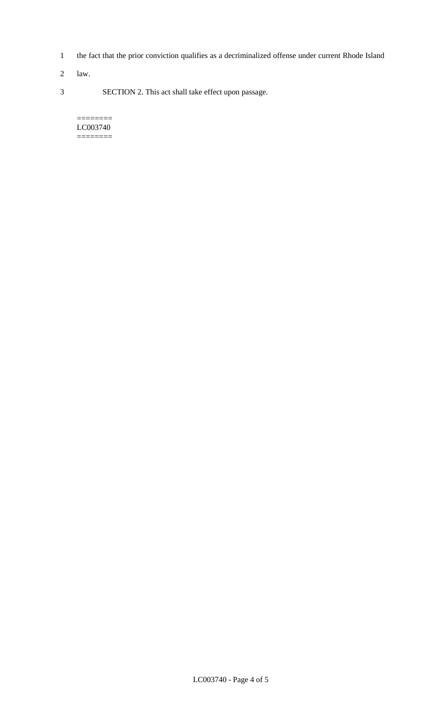- 1 the fact that the prior conviction qualifies as a decriminalized offense under current Rhode Island
- 2 law.
- 3 SECTION 2. This act shall take effect upon passage.

#### ======== LC003740 ========